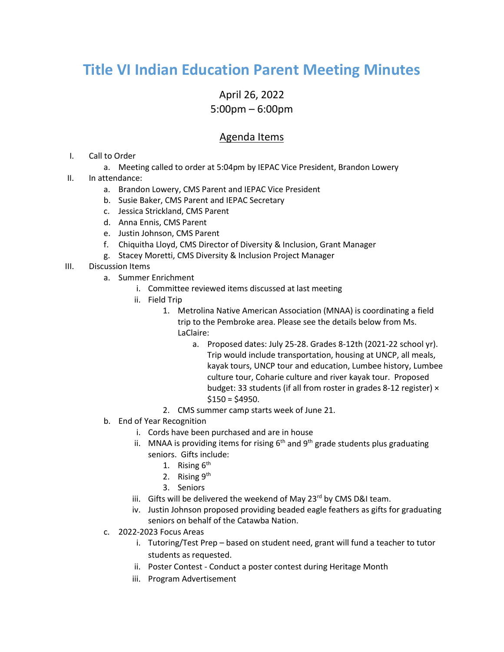## **Title VI Indian Education Parent Meeting Minutes**

## April 26, 2022 5:00pm – 6:00pm

## Agenda Items

- I. Call to Order
	- a. Meeting called to order at 5:04pm by IEPAC Vice President, Brandon Lowery
- II. In attendance:
	- a. Brandon Lowery, CMS Parent and IEPAC Vice President
	- b. Susie Baker, CMS Parent and IEPAC Secretary
	- c. Jessica Strickland, CMS Parent
	- d. Anna Ennis, CMS Parent
	- e. Justin Johnson, CMS Parent
	- f. Chiquitha Lloyd, CMS Director of Diversity & Inclusion, Grant Manager
	- g. Stacey Moretti, CMS Diversity & Inclusion Project Manager
- III. Discussion Items
	- a. Summer Enrichment
		- i. Committee reviewed items discussed at last meeting
		- ii. Field Trip
			- 1. Metrolina Native American Association (MNAA) is coordinating a field trip to the Pembroke area. Please see the details below from Ms. LaClaire:
				- a. Proposed dates: July 25-28. Grades 8-12th (2021-22 school yr). Trip would include transportation, housing at UNCP, all meals, kayak tours, UNCP tour and education, Lumbee history, Lumbee culture tour, Coharie culture and river kayak tour. Proposed budget: 33 students (if all from roster in grades 8-12 register) ×  $$150 = $4950.$
			- 2. CMS summer camp starts week of June 21.
	- b. End of Year Recognition
		- i. Cords have been purchased and are in house
		- ii. MNAA is providing items for rising  $6<sup>th</sup>$  and  $9<sup>th</sup>$  grade students plus graduating seniors. Gifts include:
			- 1. Rising  $6<sup>th</sup>$
			- 2. Rising 9<sup>th</sup>
			- 3. Seniors
		- iii. Gifts will be delivered the weekend of May 23<sup>rd</sup> by CMS D&I team.
		- iv. Justin Johnson proposed providing beaded eagle feathers as gifts for graduating seniors on behalf of the Catawba Nation.
	- c. 2022-2023 Focus Areas
		- i. Tutoring/Test Prep based on student need, grant will fund a teacher to tutor students as requested.
		- ii. Poster Contest Conduct a poster contest during Heritage Month
		- iii. Program Advertisement